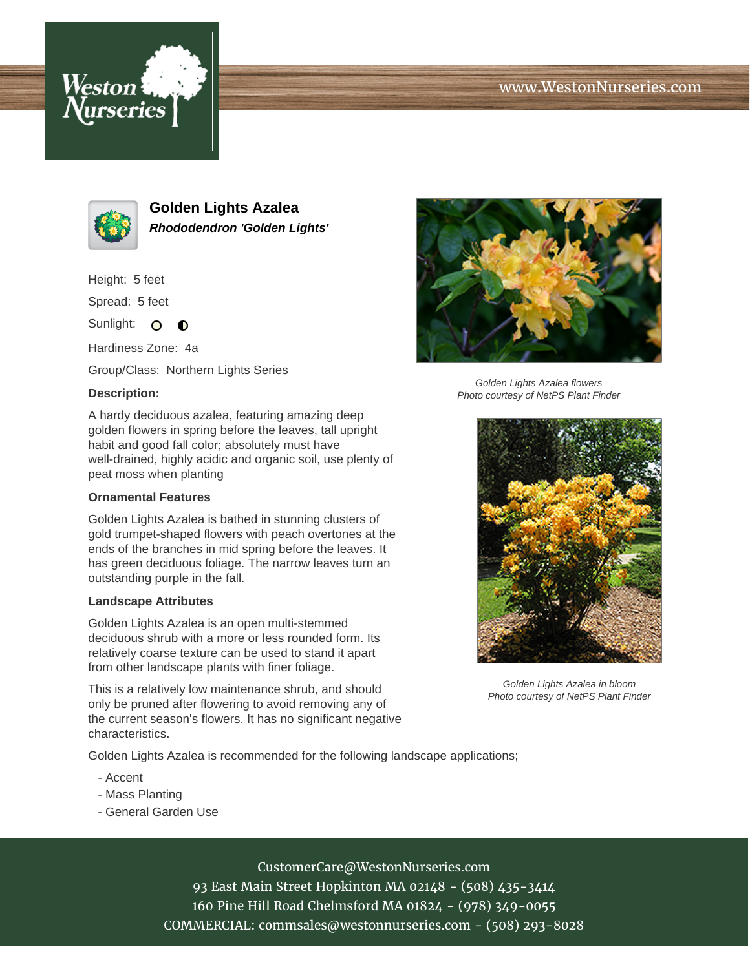# www.WestonNurseries.com





**Golden Lights Azalea Rhododendron 'Golden Lights'**

Height: 5 feet

Spread: 5 feet

Sunlight: O  $\bullet$ 

Hardiness Zone: 4a

Group/Class: Northern Lights Series

### **Description:**

A hardy deciduous azalea, featuring amazing deep golden flowers in spring before the leaves, tall upright habit and good fall color; absolutely must have well-drained, highly acidic and organic soil, use plenty of peat moss when planting

#### **Ornamental Features**

Golden Lights Azalea is bathed in stunning clusters of gold trumpet-shaped flowers with peach overtones at the ends of the branches in mid spring before the leaves. It has green deciduous foliage. The narrow leaves turn an outstanding purple in the fall.

#### **Landscape Attributes**

Golden Lights Azalea is an open multi-stemmed deciduous shrub with a more or less rounded form. Its relatively coarse texture can be used to stand it apart from other landscape plants with finer foliage.

This is a relatively low maintenance shrub, and should only be pruned after flowering to avoid removing any of the current season's flowers. It has no significant negative characteristics.

Golden Lights Azalea is recommended for the following landscape applications;

- Accent
- Mass Planting
- General Garden Use



Golden Lights Azalea flowers Photo courtesy of NetPS Plant Finder



Golden Lights Azalea in bloom Photo courtesy of NetPS Plant Finder

CustomerCare@WestonNurseries.com

93 East Main Street Hopkinton MA 02148 - (508) 435-3414 160 Pine Hill Road Chelmsford MA 01824 - (978) 349-0055 COMMERCIAL: commsales@westonnurseries.com - (508) 293-8028